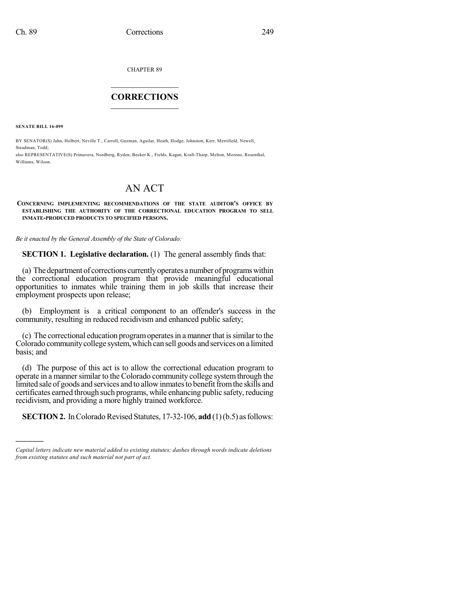CHAPTER 89

## $\mathcal{L}_\text{max}$  . The set of the set of the set of the set of the set of the set of the set of the set of the set of the set of the set of the set of the set of the set of the set of the set of the set of the set of the set **CORRECTIONS**  $\frac{1}{2}$  ,  $\frac{1}{2}$  ,  $\frac{1}{2}$  ,  $\frac{1}{2}$  ,  $\frac{1}{2}$  ,  $\frac{1}{2}$

**SENATE BILL 16-099**

)))))

BY SENATOR(S) Jahn, Holbert, Neville T., Carroll, Guzman, Aguilar, Heath, Hodge, Johnston, Kerr, Merrifield, Newell, Steadman, Todd; also REPRESENTATIVE(S) Primavera, Nordberg, Ryden, Becker K., Fields, Kagan, Kraft-Tharp, Melton, Moreno, Rosenthal,

Williams, Wilson.

## AN ACT

## **CONCERNING IMPLEMENTING RECOMMENDATIONS OF THE STATE AUDITOR'S OFFICE BY ESTABLISHING THE AUTHORITY OF THE CORRECTIONAL EDUCATION PROGRAM TO SELL INMATE-PRODUCED PRODUCTS TO SPECIFIED PERSONS.**

*Be it enacted by the General Assembly of the State of Colorado:*

**SECTION 1. Legislative declaration.** (1) The general assembly finds that:

(a) Thedepartment of corrections currentlyoperates anumber of programswithin the correctional education program that provide meaningful educational opportunities to inmates while training them in job skills that increase their employment prospects upon release;

(b) Employment is a critical component to an offender's success in the community, resulting in reduced recidivism and enhanced public safety;

(c) The correctional education programoperatesin a manner that issimilar to the Colorado community college system, which can sell goods and services on a limited basis; and

(d) The purpose of this act is to allow the correctional education program to operate in a manner similar to the Colorado community college system through the limited sale of goods and services and to allow inmates to benefit from the skills and certificates earned through such programs, while enhancing public safety, reducing recidivism, and providing a more highly trained workforce.

**SECTION 2.** In Colorado Revised Statutes, 17-32-106, **add** (1)(b.5) as follows:

*Capital letters indicate new material added to existing statutes; dashes through words indicate deletions from existing statutes and such material not part of act.*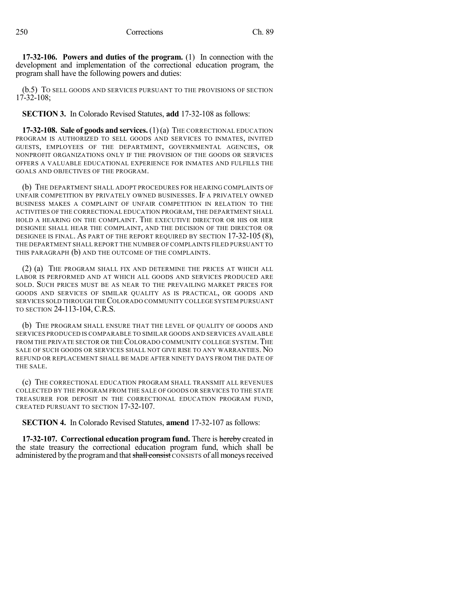**17-32-106. Powers and duties of the program.** (1) In connection with the development and implementation of the correctional education program, the program shall have the following powers and duties:

(b.5) TO SELL GOODS AND SERVICES PURSUANT TO THE PROVISIONS OF SECTION 17-32-108;

**SECTION 3.** In Colorado Revised Statutes, **add** 17-32-108 as follows:

**17-32-108. Sale of goods and services.** (1)(a) THE CORRECTIONAL EDUCATION PROGRAM IS AUTHORIZED TO SELL GOODS AND SERVICES TO INMATES, INVITED GUESTS, EMPLOYEES OF THE DEPARTMENT, GOVERNMENTAL AGENCIES, OR NONPROFIT ORGANIZATIONS ONLY IF THE PROVISION OF THE GOODS OR SERVICES OFFERS A VALUABLE EDUCATIONAL EXPERIENCE FOR INMATES AND FULFILLS THE GOALS AND OBJECTIVES OF THE PROGRAM.

(b) THE DEPARTMENT SHALL ADOPT PROCEDURES FOR HEARING COMPLAINTS OF UNFAIR COMPETITION BY PRIVATELY OWNED BUSINESSES. IF A PRIVATELY OWNED BUSINESS MAKES A COMPLAINT OF UNFAIR COMPETITION IN RELATION TO THE ACTIVITIES OF THE CORRECTIONAL EDUCATION PROGRAM, THE DEPARTMENT SHALL HOLD A HEARING ON THE COMPLAINT. THE EXECUTIVE DIRECTOR OR HIS OR HER DESIGNEE SHALL HEAR THE COMPLAINT, AND THE DECISION OF THE DIRECTOR OR DESIGNEE IS FINAL. AS PART OF THE REPORT REQUIRED BY SECTION 17-32-105 (8), THE DEPARTMENT SHALL REPORT THE NUMBER OF COMPLAINTS FILED PURSUANT TO THIS PARAGRAPH (b) AND THE OUTCOME OF THE COMPLAINTS.

(2) (a) THE PROGRAM SHALL FIX AND DETERMINE THE PRICES AT WHICH ALL LABOR IS PERFORMED AND AT WHICH ALL GOODS AND SERVICES PRODUCED ARE SOLD. SUCH PRICES MUST BE AS NEAR TO THE PREVAILING MARKET PRICES FOR GOODS AND SERVICES OF SIMILAR QUALITY AS IS PRACTICAL, OR GOODS AND SERVICES SOLD THROUGH THECOLORADO COMMUNITY COLLEGE SYSTEM PURSUANT TO SECTION 24-113-104, C.R.S.

(b) THE PROGRAM SHALL ENSURE THAT THE LEVEL OF QUALITY OF GOODS AND SERVICES PRODUCED IS COMPARABLE TO SIMILAR GOODS AND SERVICES AVAILABLE FROM THE PRIVATE SECTOR OR THE COLORADO COMMUNITY COLLEGE SYSTEM. THE SALE OF SUCH GOODS OR SERVICES SHALL NOT GIVE RISE TO ANY WARRANTIES. NO REFUND OR REPLACEMENT SHALL BE MADE AFTER NINETY DAYS FROM THE DATE OF THE SALE.

(c) THE CORRECTIONAL EDUCATION PROGRAM SHALL TRANSMIT ALL REVENUES COLLECTED BY THE PROGRAM FROM THE SALE OF GOODS OR SERVICES TO THE STATE TREASURER FOR DEPOSIT IN THE CORRECTIONAL EDUCATION PROGRAM FUND, CREATED PURSUANT TO SECTION 17-32-107.

**SECTION 4.** In Colorado Revised Statutes, **amend** 17-32-107 as follows:

**17-32-107. Correctional education program fund.** There is hereby created in the state treasury the correctional education program fund, which shall be administered by the program and that shall consist CONSISTS of all moneys received